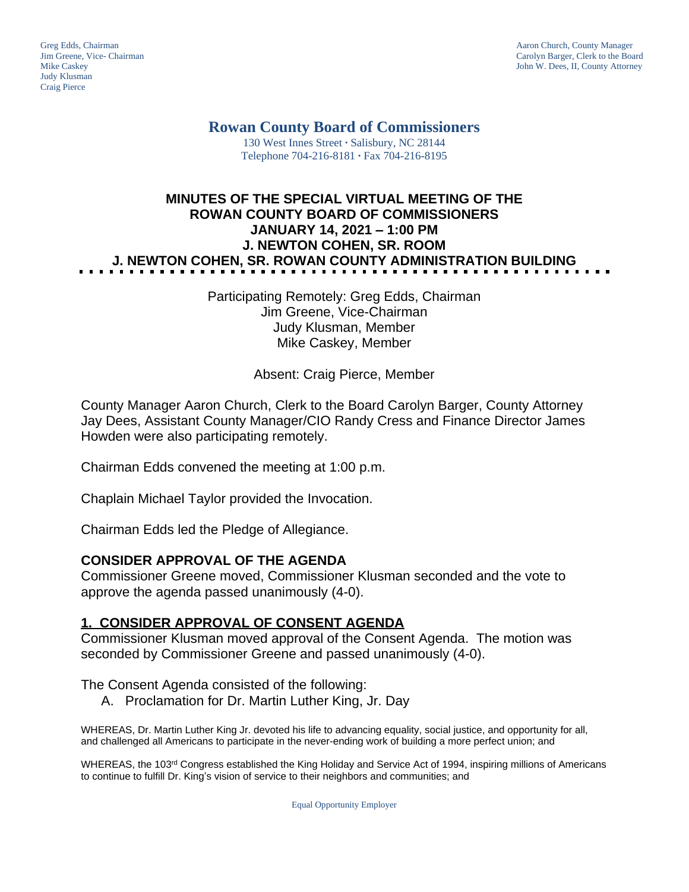Judy Klusman Craig Pierce

Greg Edds, Chairman Aaron Church, County Manager<br>
1989 - Greg Edds, Chairman Aaron Church, County Manager<br>
Carolyn Barger, Clerk to the Boa Jim Greene, Vice- Chairman Carolyn Barger, Clerk to the Board John W. Dees, II, County Attorney

# **Rowan County Board of Commissioners**

130 West Innes Street **∙** Salisbury, NC 28144 Telephone 704-216-8181 **∙** Fax 704-216-8195

# **MINUTES OF THE SPECIAL VIRTUAL MEETING OF THE ROWAN COUNTY BOARD OF COMMISSIONERS JANUARY 14, 2021 – 1:00 PM J. NEWTON COHEN, SR. ROOM J. NEWTON COHEN, SR. ROWAN COUNTY ADMINISTRATION BUILDING**

Participating Remotely: Greg Edds, Chairman Jim Greene, Vice-Chairman Judy Klusman, Member Mike Caskey, Member

Absent: Craig Pierce, Member

County Manager Aaron Church, Clerk to the Board Carolyn Barger, County Attorney Jay Dees, Assistant County Manager/CIO Randy Cress and Finance Director James Howden were also participating remotely.

Chairman Edds convened the meeting at 1:00 p.m.

Chaplain Michael Taylor provided the Invocation.

Chairman Edds led the Pledge of Allegiance.

## **CONSIDER APPROVAL OF THE AGENDA**

Commissioner Greene moved, Commissioner Klusman seconded and the vote to approve the agenda passed unanimously (4-0).

## **1. CONSIDER APPROVAL OF CONSENT AGENDA**

Commissioner Klusman moved approval of the Consent Agenda. The motion was seconded by Commissioner Greene and passed unanimously (4-0).

The Consent Agenda consisted of the following:

A. Proclamation for Dr. Martin Luther King, Jr. Day

WHEREAS, Dr. Martin Luther King Jr. devoted his life to advancing equality, social justice, and opportunity for all, and challenged all Americans to participate in the never-ending work of building a more perfect union; and

WHEREAS, the 103<sup>rd</sup> Congress established the King Holiday and Service Act of 1994, inspiring millions of Americans to continue to fulfill Dr. King's vision of service to their neighbors and communities; and

Equal Opportunity Employer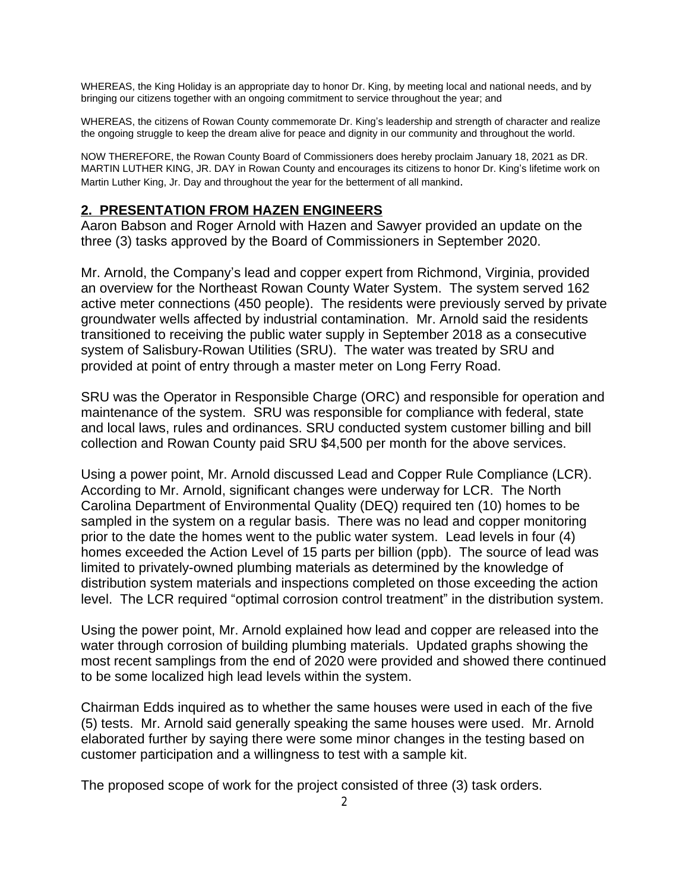WHEREAS, the King Holiday is an appropriate day to honor Dr. King, by meeting local and national needs, and by bringing our citizens together with an ongoing commitment to service throughout the year; and

WHEREAS, the citizens of Rowan County commemorate Dr. King's leadership and strength of character and realize the ongoing struggle to keep the dream alive for peace and dignity in our community and throughout the world.

NOW THEREFORE, the Rowan County Board of Commissioners does hereby proclaim January 18, 2021 as DR. MARTIN LUTHER KING, JR. DAY in Rowan County and encourages its citizens to honor Dr. King's lifetime work on Martin Luther King, Jr. Day and throughout the year for the betterment of all mankind.

#### **2. PRESENTATION FROM HAZEN ENGINEERS**

Aaron Babson and Roger Arnold with Hazen and Sawyer provided an update on the three (3) tasks approved by the Board of Commissioners in September 2020.

Mr. Arnold, the Company's lead and copper expert from Richmond, Virginia, provided an overview for the Northeast Rowan County Water System. The system served 162 active meter connections (450 people). The residents were previously served by private groundwater wells affected by industrial contamination. Mr. Arnold said the residents transitioned to receiving the public water supply in September 2018 as a consecutive system of Salisbury-Rowan Utilities (SRU). The water was treated by SRU and provided at point of entry through a master meter on Long Ferry Road.

SRU was the Operator in Responsible Charge (ORC) and responsible for operation and maintenance of the system. SRU was responsible for compliance with federal, state and local laws, rules and ordinances. SRU conducted system customer billing and bill collection and Rowan County paid SRU \$4,500 per month for the above services.

Using a power point, Mr. Arnold discussed Lead and Copper Rule Compliance (LCR). According to Mr. Arnold, significant changes were underway for LCR. The North Carolina Department of Environmental Quality (DEQ) required ten (10) homes to be sampled in the system on a regular basis. There was no lead and copper monitoring prior to the date the homes went to the public water system. Lead levels in four (4) homes exceeded the Action Level of 15 parts per billion (ppb). The source of lead was limited to privately-owned plumbing materials as determined by the knowledge of distribution system materials and inspections completed on those exceeding the action level. The LCR required "optimal corrosion control treatment" in the distribution system.

Using the power point, Mr. Arnold explained how lead and copper are released into the water through corrosion of building plumbing materials. Updated graphs showing the most recent samplings from the end of 2020 were provided and showed there continued to be some localized high lead levels within the system.

Chairman Edds inquired as to whether the same houses were used in each of the five (5) tests. Mr. Arnold said generally speaking the same houses were used. Mr. Arnold elaborated further by saying there were some minor changes in the testing based on customer participation and a willingness to test with a sample kit.

The proposed scope of work for the project consisted of three (3) task orders.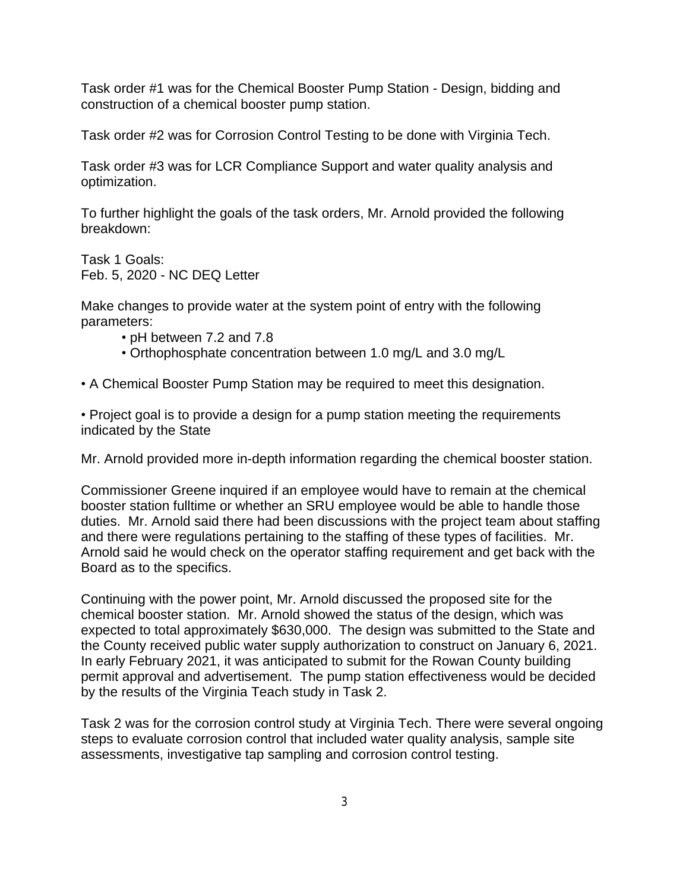Task order #1 was for the Chemical Booster Pump Station - Design, bidding and construction of a chemical booster pump station.

Task order #2 was for Corrosion Control Testing to be done with Virginia Tech.

Task order #3 was for LCR Compliance Support and water quality analysis and optimization.

To further highlight the goals of the task orders, Mr. Arnold provided the following breakdown:

Task 1 Goals: Feb. 5, 2020 - NC DEQ Letter

Make changes to provide water at the system point of entry with the following parameters:

- pH between 7.2 and 7.8
- Orthophosphate concentration between 1.0 mg/L and 3.0 mg/L
- A Chemical Booster Pump Station may be required to meet this designation.

• Project goal is to provide a design for a pump station meeting the requirements indicated by the State

Mr. Arnold provided more in-depth information regarding the chemical booster station.

Commissioner Greene inquired if an employee would have to remain at the chemical booster station fulltime or whether an SRU employee would be able to handle those duties. Mr. Arnold said there had been discussions with the project team about staffing and there were regulations pertaining to the staffing of these types of facilities. Mr. Arnold said he would check on the operator staffing requirement and get back with the Board as to the specifics.

Continuing with the power point, Mr. Arnold discussed the proposed site for the chemical booster station. Mr. Arnold showed the status of the design, which was expected to total approximately \$630,000. The design was submitted to the State and the County received public water supply authorization to construct on January 6, 2021. In early February 2021, it was anticipated to submit for the Rowan County building permit approval and advertisement. The pump station effectiveness would be decided by the results of the Virginia Teach study in Task 2.

Task 2 was for the corrosion control study at Virginia Tech. There were several ongoing steps to evaluate corrosion control that included water quality analysis, sample site assessments, investigative tap sampling and corrosion control testing.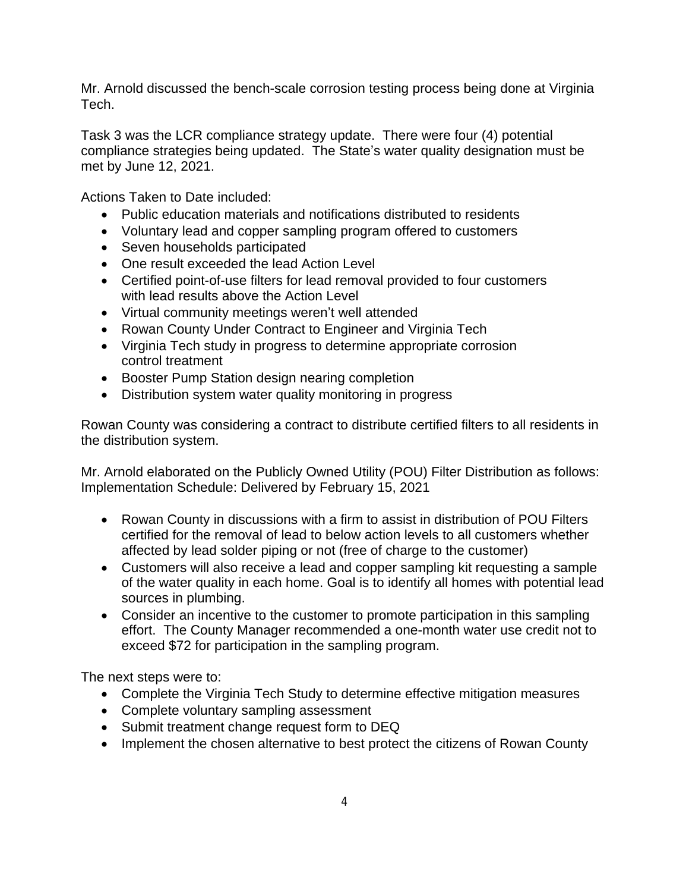Mr. Arnold discussed the bench-scale corrosion testing process being done at Virginia Tech.

Task 3 was the LCR compliance strategy update. There were four (4) potential compliance strategies being updated. The State's water quality designation must be met by June 12, 2021.

Actions Taken to Date included:

- Public education materials and notifications distributed to residents
- Voluntary lead and copper sampling program offered to customers
- Seven households participated
- One result exceeded the lead Action Level
- Certified point-of-use filters for lead removal provided to four customers with lead results above the Action Level
- Virtual community meetings weren't well attended
- Rowan County Under Contract to Engineer and Virginia Tech
- Virginia Tech study in progress to determine appropriate corrosion control treatment
- Booster Pump Station design nearing completion
- Distribution system water quality monitoring in progress

Rowan County was considering a contract to distribute certified filters to all residents in the distribution system.

Mr. Arnold elaborated on the Publicly Owned Utility (POU) Filter Distribution as follows: Implementation Schedule: Delivered by February 15, 2021

- Rowan County in discussions with a firm to assist in distribution of POU Filters certified for the removal of lead to below action levels to all customers whether affected by lead solder piping or not (free of charge to the customer)
- Customers will also receive a lead and copper sampling kit requesting a sample of the water quality in each home. Goal is to identify all homes with potential lead sources in plumbing.
- Consider an incentive to the customer to promote participation in this sampling effort. The County Manager recommended a one-month water use credit not to exceed \$72 for participation in the sampling program.

The next steps were to:

- Complete the Virginia Tech Study to determine effective mitigation measures
- Complete voluntary sampling assessment
- Submit treatment change request form to DEQ
- Implement the chosen alternative to best protect the citizens of Rowan County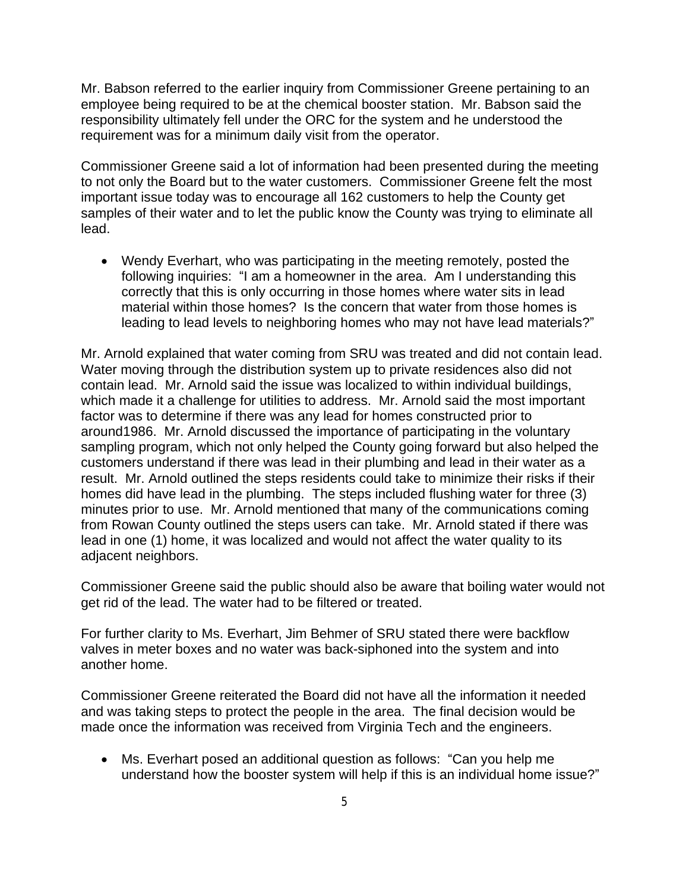Mr. Babson referred to the earlier inquiry from Commissioner Greene pertaining to an employee being required to be at the chemical booster station. Mr. Babson said the responsibility ultimately fell under the ORC for the system and he understood the requirement was for a minimum daily visit from the operator.

Commissioner Greene said a lot of information had been presented during the meeting to not only the Board but to the water customers. Commissioner Greene felt the most important issue today was to encourage all 162 customers to help the County get samples of their water and to let the public know the County was trying to eliminate all lead.

 Wendy Everhart, who was participating in the meeting remotely, posted the following inquiries: "I am a homeowner in the area. Am I understanding this correctly that this is only occurring in those homes where water sits in lead material within those homes? Is the concern that water from those homes is leading to lead levels to neighboring homes who may not have lead materials?"

Mr. Arnold explained that water coming from SRU was treated and did not contain lead. Water moving through the distribution system up to private residences also did not contain lead. Mr. Arnold said the issue was localized to within individual buildings, which made it a challenge for utilities to address. Mr. Arnold said the most important factor was to determine if there was any lead for homes constructed prior to around1986. Mr. Arnold discussed the importance of participating in the voluntary sampling program, which not only helped the County going forward but also helped the customers understand if there was lead in their plumbing and lead in their water as a result. Mr. Arnold outlined the steps residents could take to minimize their risks if their homes did have lead in the plumbing. The steps included flushing water for three (3) minutes prior to use. Mr. Arnold mentioned that many of the communications coming from Rowan County outlined the steps users can take. Mr. Arnold stated if there was lead in one (1) home, it was localized and would not affect the water quality to its adjacent neighbors.

Commissioner Greene said the public should also be aware that boiling water would not get rid of the lead. The water had to be filtered or treated.

For further clarity to Ms. Everhart, Jim Behmer of SRU stated there were backflow valves in meter boxes and no water was back-siphoned into the system and into another home.

Commissioner Greene reiterated the Board did not have all the information it needed and was taking steps to protect the people in the area. The final decision would be made once the information was received from Virginia Tech and the engineers.

 Ms. Everhart posed an additional question as follows: "Can you help me understand how the booster system will help if this is an individual home issue?"